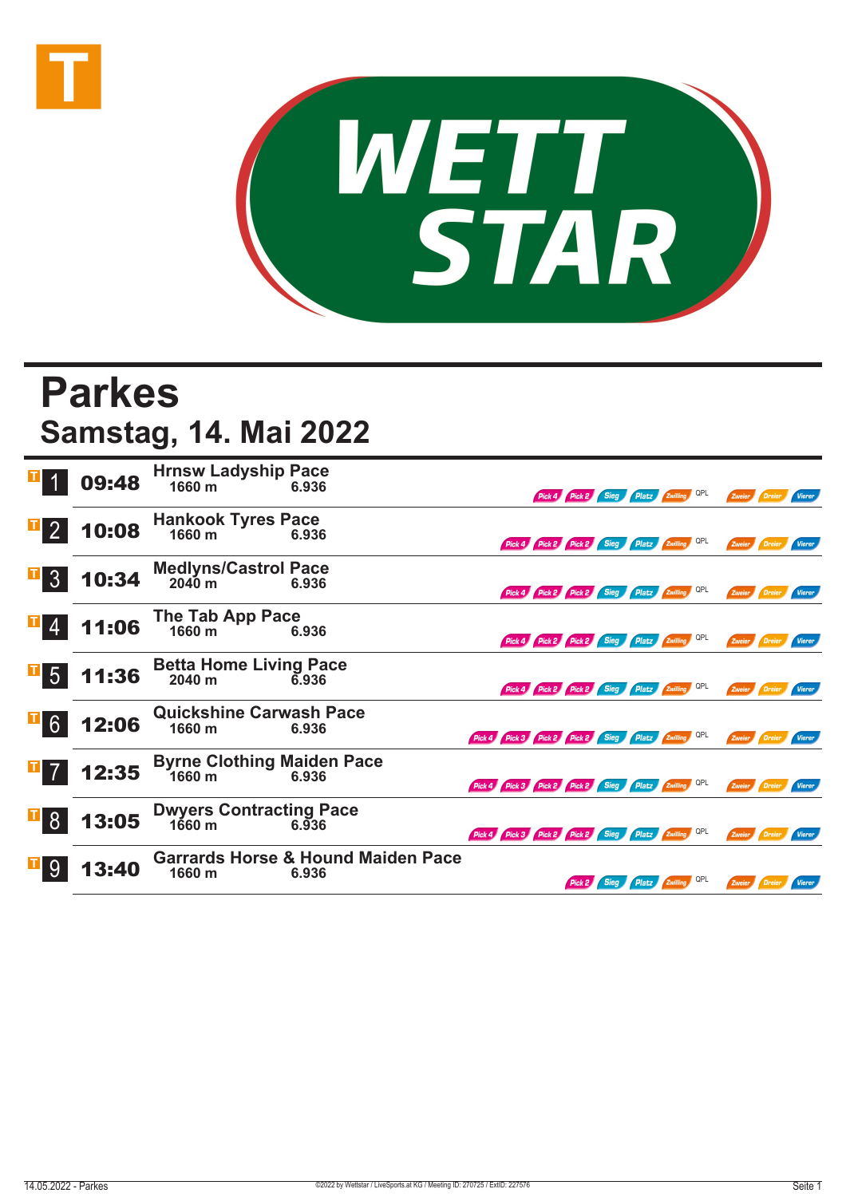



## **Parkes Samstag, 14. Mai 2022**

|                  | 09:48 | <b>Hrnsw Ladyship Pace</b><br>1660 m        | 6.936                                                  |                                                     |        |      | Pick 4 Pick 2 Sieg Platz Zwilling QPL |     | Zweier Dreier |               | <b>Vierer</b> |
|------------------|-------|---------------------------------------------|--------------------------------------------------------|-----------------------------------------------------|--------|------|---------------------------------------|-----|---------------|---------------|---------------|
| $\overline{1}$ 2 | 10:08 | <b>Hankook Tyres Pace</b><br>1660 m         | 6.936                                                  | Pick 4 Pick 2 Pick 2 Sieg Platz Zwilling QPL        |        |      |                                       |     | Zweier        | <i>Dreier</i> | Vierer        |
| $\overline{1}$ 3 | 10:34 | <b>Medlyns/Castrol Pace</b><br>2040 m       | 6.936                                                  | Pick 4 Pick 2 Pick 2 Sieg Platz Zwilling QPL        |        |      |                                       |     |               | Zweier Dreier | Vierer        |
|                  | 11:06 | The Tab App Pace<br>1660 m                  | 6.936                                                  | Pick 4 Pick 2 Pick 2 Sieg Platz Zwilling QPL        |        |      |                                       |     |               | Zweier Dreier | Vierer        |
| $\overline{1}$ 5 | 11:36 | <b>Betta Home Living Pace</b><br>2040 m     | 6.936                                                  | Pick 4 Pick 2 Pick 2 Sieg Platz Zwilling            |        |      |                                       | QPL | Zweier        | Dreier        | Vierer        |
| $\mathbf{F}$ 6   | 12:06 | <b>Quickshine Carwash Pace</b><br>1660 m    | 6.936                                                  | Pick 4 Pick 3 Pick 2 Pick 2 Sieg Platz Zwilling QPL |        |      |                                       |     | Zweier        | Dreier        | <b>Vierer</b> |
|                  | 12:35 | <b>Byrne Clothing Maiden Pace</b><br>1660 m | 6.936                                                  | Pick 4 Pick 3 Pick 2 Pick 2 Sieg Platz Zwilling QPL |        |      |                                       |     | Zweier        | Dreier        | Vierer        |
| $\mathbb{F}$ 8   | 13:05 | <b>Dwyers Contracting Pace</b><br>1660 m    | 6.936                                                  | Pick 4 Pick 3 Pick 2 Pick 2 Sieg                    |        |      | <b>Platz Zwilling</b> QPL             |     | Zweier        | / Dreier      | <b>Vierer</b> |
| 9                | 3:40  | 1660 m                                      | <b>Garrards Horse &amp; Hound Maiden Pace</b><br>6.936 |                                                     | Pick 2 | Sieg | Platz Zwilling QPL                    |     | Zweier        | Dreier        | Vierer        |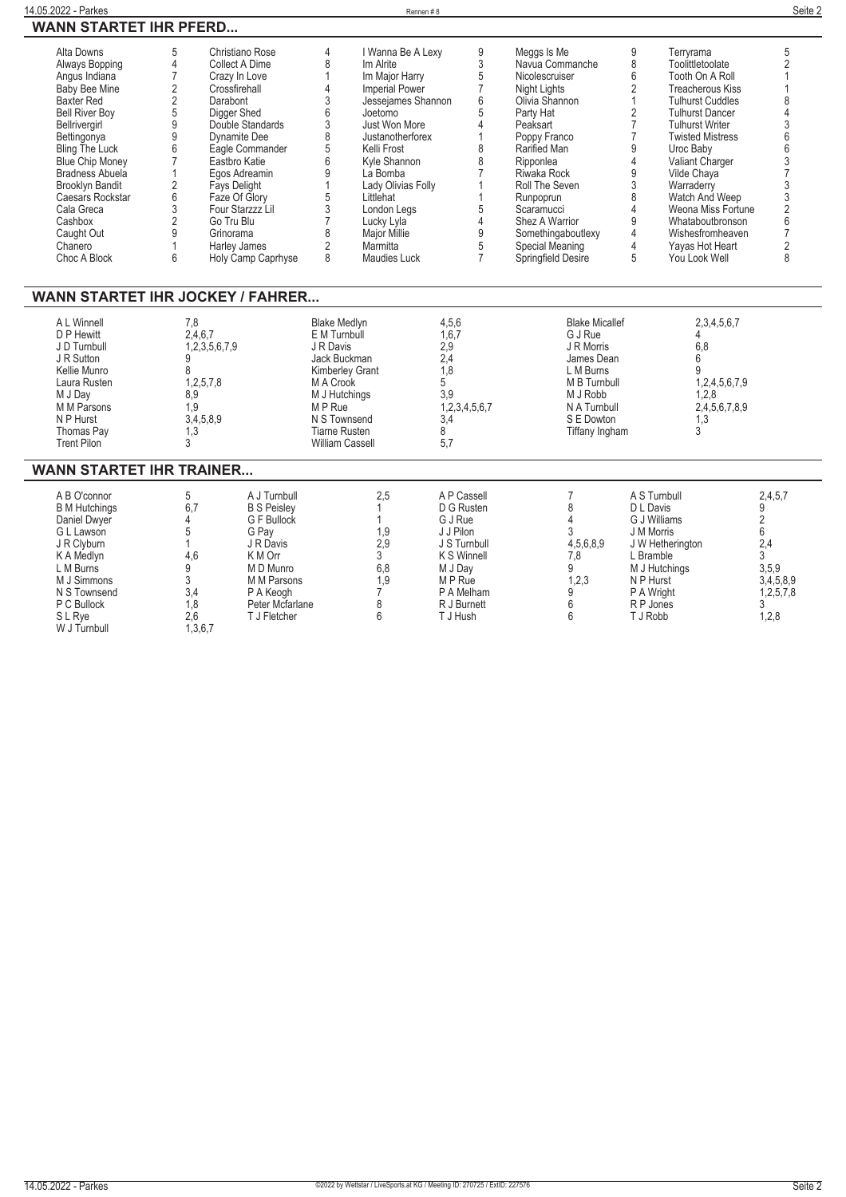| 14.05.2022 - Parkes                                                                                                                                                                                                                                                                                                                       |                                                                                                                                                                                                                                  |                                                                                                                                                                                                                                                                                             |                                                                                                                                                         | Rennen#8                                                                                                                                                                                                                                                                                                      |                                                                                                                                                            |                                                                                                                                                                                                                                                                                                              |                                                                                                                                          |                                                                                                                                                                                                                                                                                                                                                                        | Seite 2                                                                                                                                                                           |
|-------------------------------------------------------------------------------------------------------------------------------------------------------------------------------------------------------------------------------------------------------------------------------------------------------------------------------------------|----------------------------------------------------------------------------------------------------------------------------------------------------------------------------------------------------------------------------------|---------------------------------------------------------------------------------------------------------------------------------------------------------------------------------------------------------------------------------------------------------------------------------------------|---------------------------------------------------------------------------------------------------------------------------------------------------------|---------------------------------------------------------------------------------------------------------------------------------------------------------------------------------------------------------------------------------------------------------------------------------------------------------------|------------------------------------------------------------------------------------------------------------------------------------------------------------|--------------------------------------------------------------------------------------------------------------------------------------------------------------------------------------------------------------------------------------------------------------------------------------------------------------|------------------------------------------------------------------------------------------------------------------------------------------|------------------------------------------------------------------------------------------------------------------------------------------------------------------------------------------------------------------------------------------------------------------------------------------------------------------------------------------------------------------------|-----------------------------------------------------------------------------------------------------------------------------------------------------------------------------------|
| <b>WANN STARTET IHR PFERD</b>                                                                                                                                                                                                                                                                                                             |                                                                                                                                                                                                                                  |                                                                                                                                                                                                                                                                                             |                                                                                                                                                         |                                                                                                                                                                                                                                                                                                               |                                                                                                                                                            |                                                                                                                                                                                                                                                                                                              |                                                                                                                                          |                                                                                                                                                                                                                                                                                                                                                                        |                                                                                                                                                                                   |
| Alta Downs<br>Always Bopping<br>Angus Indiana<br><b>Baby Bee Mine</b><br><b>Baxter Red</b><br><b>Bell River Boy</b><br>Bellrivergirl<br>Bettingonya<br>Bling The Luck<br><b>Blue Chip Money</b><br><b>Bradness Abuela</b><br><b>Brooklyn Bandit</b><br>Caesars Rockstar<br>Cala Greca<br>Cashbox<br>Caught Out<br>Chanero<br>Choc A Block | 5<br>$\overline{4}$<br>$\overline{7}$<br>$\overline{2}$<br>$\overline{2}$<br>Darabont<br>5<br>9<br>9<br>6<br>$\overline{7}$<br>$\mathbf{1}$<br>$\overline{2}$<br>6<br>3<br>$\overline{2}$<br>9<br>Grinorama<br>$\mathbf{1}$<br>6 | Christiano Rose<br>Collect A Dime<br>Crazy In Love<br>Crossfirehall<br>Digger Shed<br>Double Standards<br><b>Dynamite Dee</b><br>Eagle Commander<br>Eastbro Katie<br>Egos Adreamin<br>Fays Delight<br>Faze Of Glory<br>Four Starzzz Lil<br>Go Tru Blu<br>Harley James<br>Holy Camp Caprhyse | 4<br>8<br>$\mathbf{1}$<br>4<br>3<br>6<br>3<br>8<br>5<br>6<br>9<br>$\mathbf{1}$<br>5<br>3<br>$\overline{7}$<br>8<br>$\overline{2}$<br>8                  | I Wanna Be A Lexy<br>Im Alrite<br>Im Major Harry<br><b>Imperial Power</b><br>Jessejames Shannon<br>Joetomo<br>Just Won More<br>Justanotherforex<br>Kelli Frost<br>Kyle Shannon<br>La Bomba<br>Lady Olivias Folly<br>Littlehat<br>London Legs<br>Lucky Lyla<br><b>Major Millie</b><br>Marmitta<br>Maudies Luck | $9\,$<br>3<br>5<br>$\overline{7}$<br>$6\phantom{1}$<br>5<br>4<br>-1<br>8<br>8<br>$\overline{7}$<br>1<br>$\mathbf{1}$<br>5<br>4<br>9<br>5<br>$\overline{7}$ | Meggs Is Me<br>Navua Commanche<br>Nicolescruiser<br><b>Night Lights</b><br>Olivia Shannon<br>Party Hat<br>Peaksart<br>Poppy Franco<br>Rarified Man<br>Ripponlea<br>Riwaka Rock<br>Roll The Seven<br>Runpoprun<br>Scaramucci<br>Shez A Warrior<br>Somethingaboutlexy<br>Special Meaning<br>Springfield Desire | 9<br>8<br>6<br>$\overline{2}$<br>$\mathbf{1}$<br>2<br>$\overline{7}$<br>$\overline{7}$<br>9<br>4<br>9<br>3<br>8<br>4<br>9<br>4<br>4<br>5 | Terryrama<br>Toolittletoolate<br>Tooth On A Roll<br><b>Treacherous Kiss</b><br><b>Tulhurst Cuddles</b><br><b>Tulhurst Dancer</b><br><b>Tulhurst Writer</b><br><b>Twisted Mistress</b><br>Uroc Baby<br>Valiant Charger<br>Vilde Chava<br>Warraderry<br>Watch And Weep<br>Weona Miss Fortune<br>Whataboutbronson<br>Wishesfromheaven<br>Yayas Hot Heart<br>You Look Well | 5<br>$\overline{2}$<br>1<br>1<br>8<br>$\overline{4}$<br>3<br>6<br>6<br>3<br>$\overline{7}$<br>3<br>$\overline{3}$<br>$\overline{2}$<br>6<br>$\overline{7}$<br>$\overline{2}$<br>8 |
| <b>WANN STARTET IHR JOCKEY / FAHRER</b><br>A L Winnell<br>D P Hewitt                                                                                                                                                                                                                                                                      | 7.8<br>2,4,6,7                                                                                                                                                                                                                   |                                                                                                                                                                                                                                                                                             | <b>Blake Medlyn</b><br>E M Turnbull                                                                                                                     |                                                                                                                                                                                                                                                                                                               | 4.5.6<br>1.6.7                                                                                                                                             | <b>Blake Micallef</b><br>G J Rue                                                                                                                                                                                                                                                                             |                                                                                                                                          | 2,3,4,5,6,7<br>4                                                                                                                                                                                                                                                                                                                                                       |                                                                                                                                                                                   |
| J D Turnbull<br>J R Sutton<br>Kellie Munro<br>Laura Rusten<br>M J Dav<br>M M Parsons<br>N P Hurst<br>Thomas Pay<br><b>Trent Pilon</b>                                                                                                                                                                                                     | 1,2,3,5,6,7,9<br>g<br>8<br>1,2,5,7,8<br>8.9<br>1,9<br>3,4,5,8,9<br>1,3<br>3                                                                                                                                                      |                                                                                                                                                                                                                                                                                             | J R Davis<br>Jack Buckman<br>Kimberley Grant<br>M A Crook<br>M J Hutchings<br>M P Rue<br>N S Townsend<br><b>Tiarne Rusten</b><br><b>William Cassell</b> |                                                                                                                                                                                                                                                                                                               | 2,9<br>2.4<br>1,8<br>5<br>3.9<br>1,2,3,4,5,6,7<br>3,4<br>8<br>5,7                                                                                          | J R Morris<br>James Dean<br>L M Burns<br>M B Turnbull<br>M J Robb<br>N A Turnbull<br>S E Dowton<br>Tiffany Ingham                                                                                                                                                                                            |                                                                                                                                          | 6.8<br>6<br>g<br>1,2,4,5,6,7,9<br>1.2.8<br>2,4,5,6,7,8,9<br>1,3<br>3                                                                                                                                                                                                                                                                                                   |                                                                                                                                                                                   |
| <b>WANN STARTET IHR TRAINER</b>                                                                                                                                                                                                                                                                                                           |                                                                                                                                                                                                                                  |                                                                                                                                                                                                                                                                                             |                                                                                                                                                         |                                                                                                                                                                                                                                                                                                               |                                                                                                                                                            |                                                                                                                                                                                                                                                                                                              |                                                                                                                                          |                                                                                                                                                                                                                                                                                                                                                                        |                                                                                                                                                                                   |
| A B O'connor<br><b>B</b> M Hutchings<br>Daniel Dwyer<br>G L Lawson<br>J R Clyburn<br>K A Medlyn<br>L M Burns<br>M J Simmons<br>N S Townsend<br>P C Bullock<br>S L Rye<br>W J Turnbull                                                                                                                                                     | 5<br>6.7<br>4<br>5<br>1<br>4,6<br>9<br>3<br>3,4<br>1,8<br>2.6<br>1,3,6,7                                                                                                                                                         | A J Turnbull<br><b>B S Peisley</b><br>G F Bullock<br>G Pay<br>J R Davis<br>K M Orr<br>M D Munro<br>M M Parsons<br>P A Keogh<br>Peter Mcfarlane<br>T J Fletcher                                                                                                                              |                                                                                                                                                         | 2,5<br>1,9<br>2.9<br>3<br>6,8<br>1.9<br>7<br>8<br>6                                                                                                                                                                                                                                                           | A P Cassell<br>D G Rusten<br>G J Rue<br>J J Pilon<br>J S Turnbull<br>K S Winnell<br>M J Day<br>M P Rue<br>P A Melham<br>R J Burnett<br>T J Hush            | $\overline{7}$<br>8<br>4<br>3<br>4,5,6,8,9<br>7,8<br>9<br>1,2,3<br>9<br>6<br>6                                                                                                                                                                                                                               |                                                                                                                                          | A S Turnbull<br>D L Davis<br>G J Williams<br>J M Morris<br>J W Hetherington<br>L Bramble<br>M J Hutchings<br>N P Hurst<br>P A Wright<br>R P Jones<br>T J Robb                                                                                                                                                                                                          | 2,4,5,7<br>9<br>$\overline{2}$<br>6<br>2,4<br>3<br>3,5,9<br>3,4,5,8,9<br>1,2,5,7,8<br>3<br>1,2,8                                                                                  |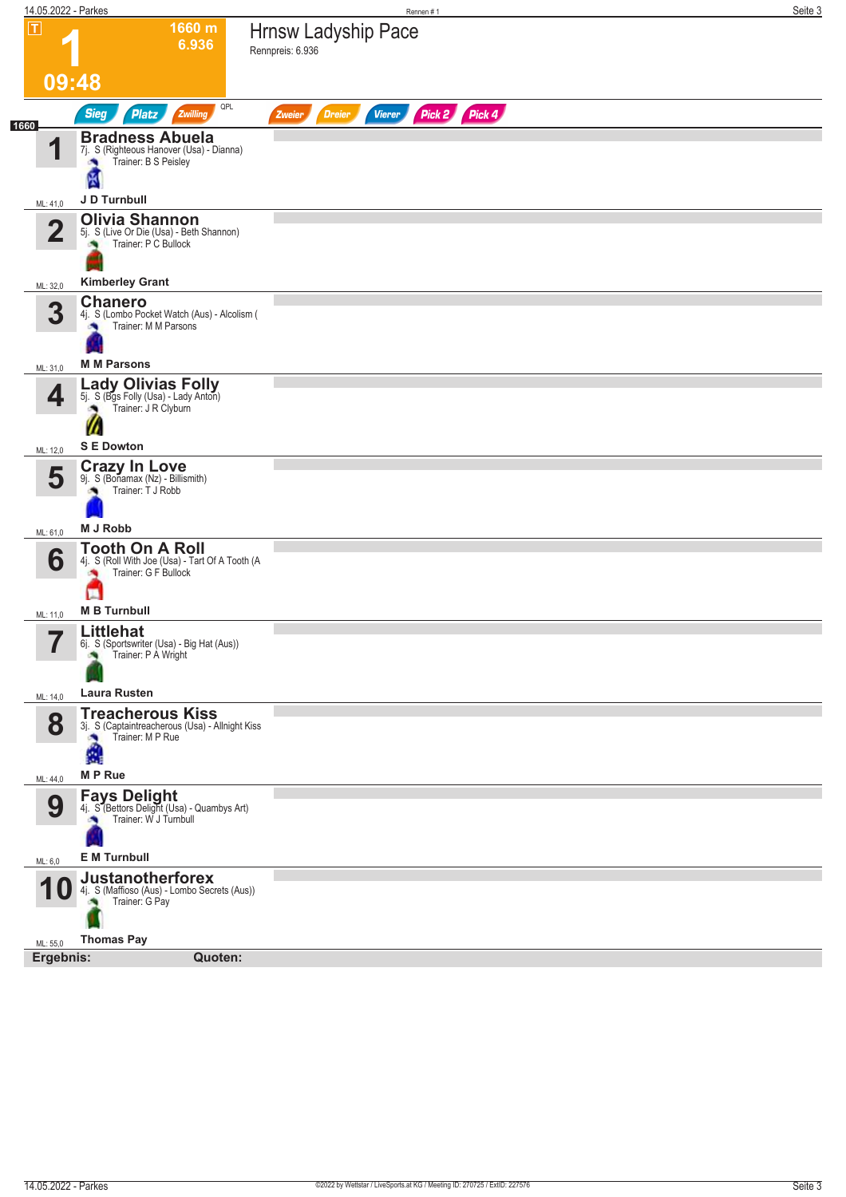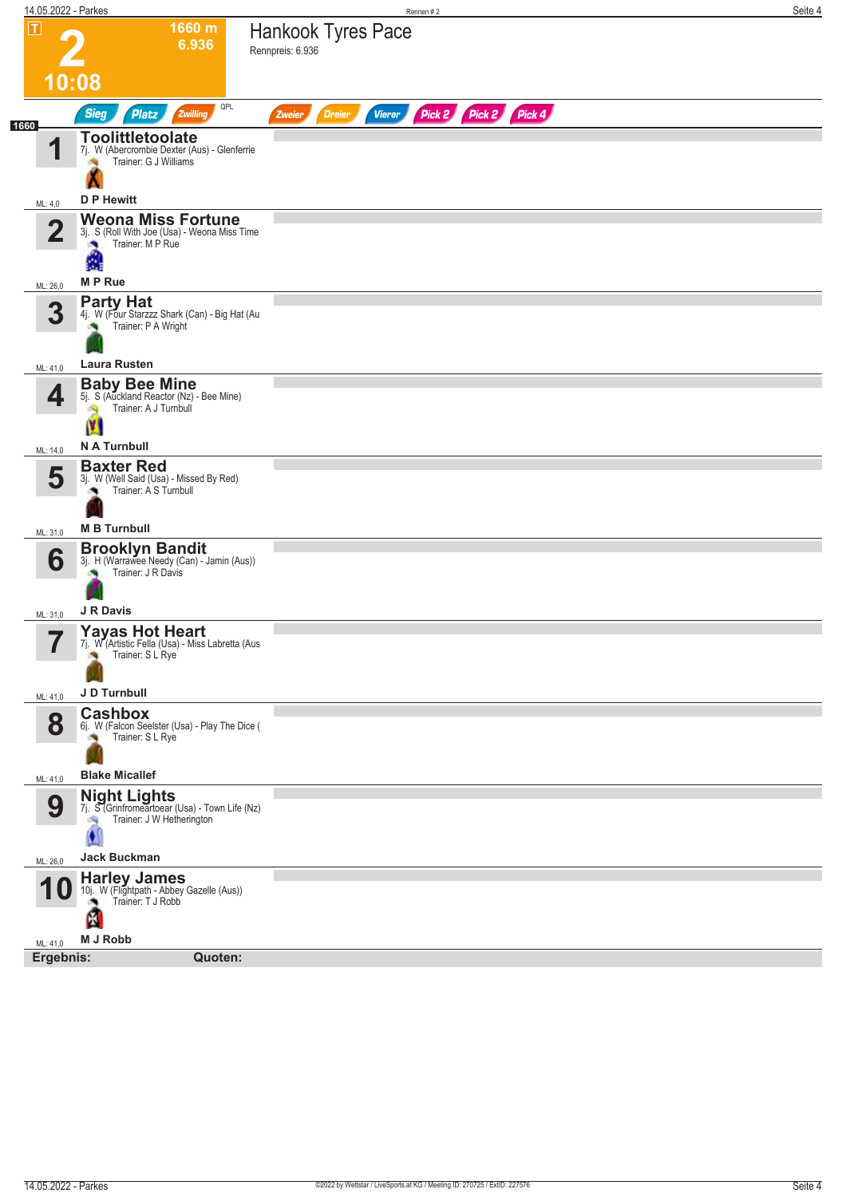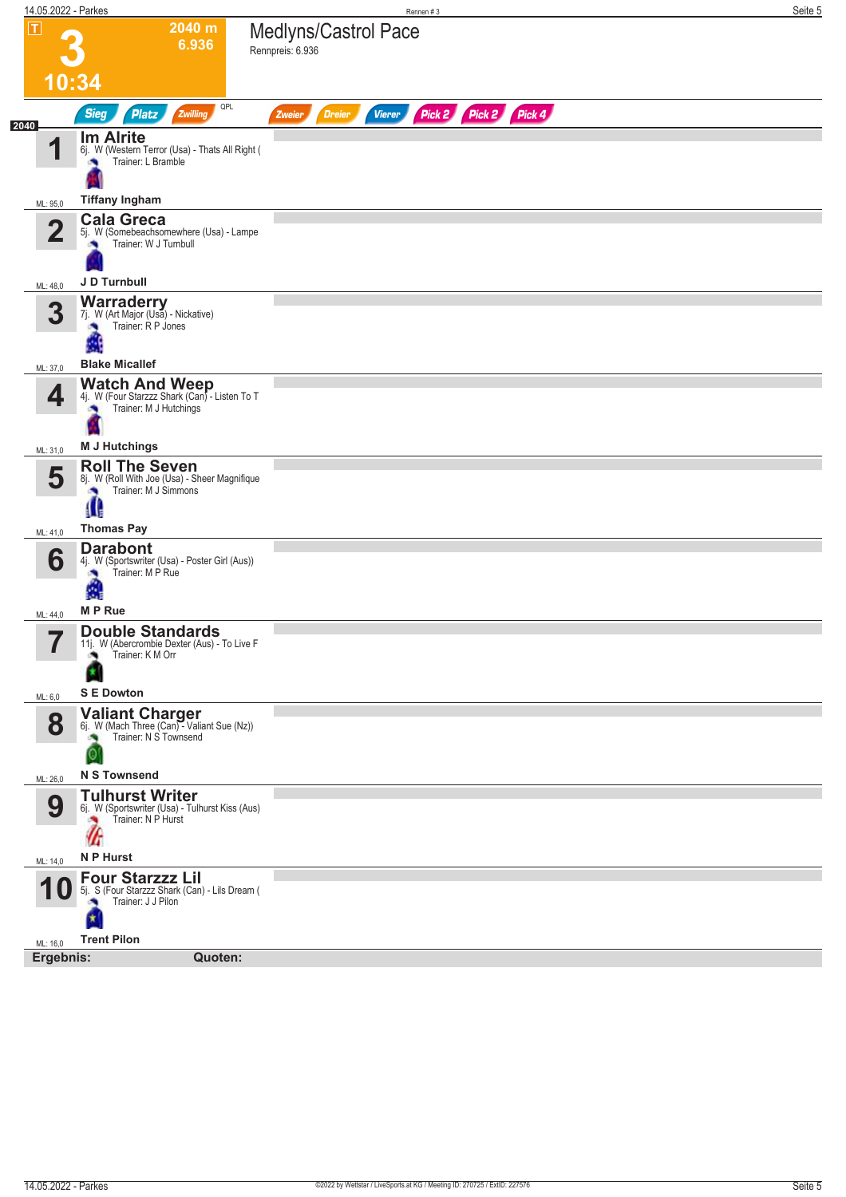| 14.05.2022 - Parkes   |                                                                                                                     | Rennen #3                                                        | Seite 5 |
|-----------------------|---------------------------------------------------------------------------------------------------------------------|------------------------------------------------------------------|---------|
| $\boxed{\mathbf{T}}$  | 2040 m<br>6.936                                                                                                     | Medlyns/Castrol Pace<br>Rennpreis: 6.936                         |         |
| 10:34                 |                                                                                                                     |                                                                  |         |
| 2040                  | QPL<br><b>Sieg</b><br>Zwilling<br>Platz                                                                             | Pick 2 Pick 2 Pick 4<br><b>Dreier</b><br><b>Vierer</b><br>Zweier |         |
| 1                     | <b>Im Alrite</b><br>6j. W (Western Terror (Usa) - Thats All Right (<br>Trainer: L Bramble                           |                                                                  |         |
| ML: 95,0              | <b>Tiffany Ingham</b>                                                                                               |                                                                  |         |
| $\overline{2}$        | <b>Cala Greca</b><br>5j. W (Somebeachsomewhere (Usa) - Lampe<br>Trainer: W J Turnbull<br>J D Turnbull               |                                                                  |         |
| ML: 48,0              |                                                                                                                     |                                                                  |         |
| 3                     | <b>Warraderry</b><br>7j. W (Art Major (Usa) - Nickative)<br>Trainer: R P Jones                                      |                                                                  |         |
| ML: 37,0              | <b>Blake Micallef</b>                                                                                               |                                                                  |         |
| 4                     | <b>Watch And Weep</b><br>4j. W (Four Starzzz Shark (Can) - Listen To T<br>Trainer: M J Hutchings<br>G.              |                                                                  |         |
| ML: 31,0              | <b>M J Hutchings</b>                                                                                                |                                                                  |         |
| 5                     | <b>Roll The Seven</b><br>8j. W (Roll With Joe (Usa) - Sheer Magnifique<br>Trainer: M J Simmons<br>×<br>Œ            |                                                                  |         |
| ML: 41,0              | <b>Thomas Pay</b>                                                                                                   |                                                                  |         |
| 6                     | <b>Darabont</b><br>4j. W (Sportswriter (Usa) - Poster Girl (Aus))<br>A                                              |                                                                  |         |
| ML: 44,0              | <b>MP</b> Rue<br><b>Double Standards</b>                                                                            |                                                                  |         |
| 7<br>ı                | 11j. W (Abercrombie Dexter (Aus) - To Live F<br>Trainer: K M Orr                                                    |                                                                  |         |
| ML: 6,0               | <b>S E Dowton</b>                                                                                                   |                                                                  |         |
| 8                     | Valiant Charger<br>6j. W (Mach Three (Can) - Valiant Sue (Nz))<br>Trainer: N S Townsend<br>0<br><b>N S Townsend</b> |                                                                  |         |
| ML: 26,0              | <b>Tulhurst Writer</b>                                                                                              |                                                                  |         |
| 9<br>ML: 14,0         | 6j. W (Sportswriter (Usa) - Tulhurst Kiss (Aus)<br>Trainer: N P Hurst<br>UГ<br>N P Hurst                            |                                                                  |         |
|                       | <b>Four Starzzz Lil</b>                                                                                             |                                                                  |         |
|                       | 5j. S (Four Starzzz Shark (Can) - Lils Dream (<br>Trainer: J J Pilon<br>X                                           |                                                                  |         |
| ML: 16,0<br>Ergebnis: | <b>Trent Pilon</b><br>Quoten:                                                                                       |                                                                  |         |
|                       |                                                                                                                     |                                                                  |         |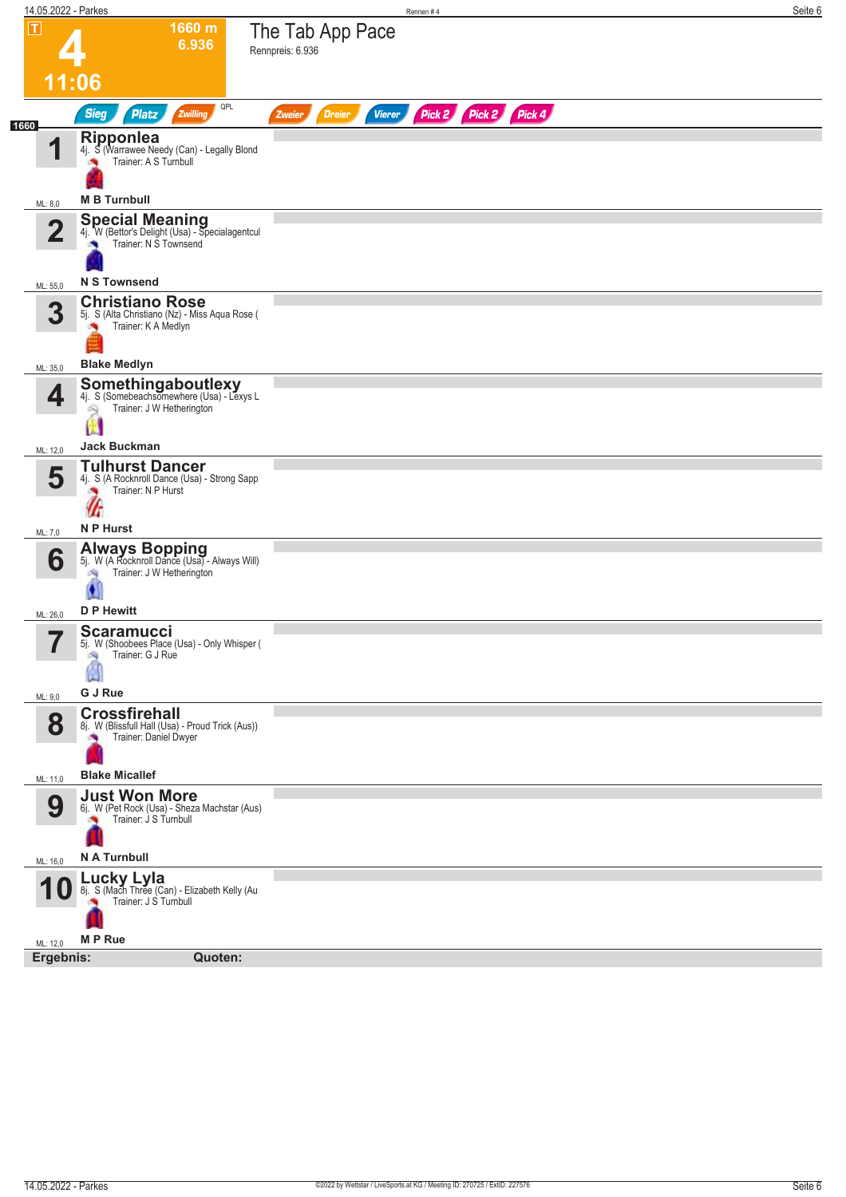| 14.05.2022 - Parkes   |                                                                                                                 | Rennen#4                                                         | Seite 6 |
|-----------------------|-----------------------------------------------------------------------------------------------------------------|------------------------------------------------------------------|---------|
| $ \mathbf{T} $        | 1660 m<br>6.936                                                                                                 | The Tab App Pace<br>Rennpreis: 6.936                             |         |
|                       | 11:06                                                                                                           |                                                                  |         |
| 1660                  | QPL<br><b>Sieg</b><br>Zwilling<br><b>Platz</b>                                                                  | Pick 2 Pick 2 Pick 4<br><b>Vierer</b><br><b>Dreier</b><br>Zweier |         |
| 4                     | <b>Ripponlea</b><br>4j. S (Warrawee Needy (Can) - Legally Blond<br>Trainer: A S Turnbull<br><b>M B Turnbull</b> |                                                                  |         |
| ML: 8,0               | <b>Special Meaning</b><br>4j. W (Bettor's Delight (Usa) - Specialagentcul                                       |                                                                  |         |
| $\overline{2}$        | Trainer: N S Townsend                                                                                           |                                                                  |         |
| ML: 55,0              | <b>N S Townsend</b>                                                                                             |                                                                  |         |
| 3                     | <b>Christiano Rose</b><br>5j. S (Alta Christiano (Nz) - Miss Aqua Rose (<br>Trainer: K A Medlyn<br>×            |                                                                  |         |
| ML: 35,0              | <b>Blake Medlyn</b>                                                                                             |                                                                  |         |
| 4                     | Somethingaboutlexy<br>4j. S (Somebeachsomewhere (Usa) - Lexys L<br>Trainer: J W Hetherington<br>Q               |                                                                  |         |
| ML: 12,0              | <b>Jack Buckman</b>                                                                                             |                                                                  |         |
| 5                     | <b>Tulhurst Dancer</b><br>4j. S (A Rocknroll Dance (Usa) - Strong Sapp<br>Trainer: N P Hurst<br>۸<br>Æ          |                                                                  |         |
| ML: 7,0               | N P Hurst                                                                                                       |                                                                  |         |
| 6                     | Always Bopping<br>5j. W (A Rocknroll Dance (Usa) - Always Will)<br>Trainer: J W Hetherington<br>đ.              |                                                                  |         |
| ML: 26,0              | <b>D P Hewitt</b>                                                                                               |                                                                  |         |
| 7<br>ı                | <b>Scaramucci</b><br>5j. W (Shoobees Place (Usa) - Only Whisper (<br>Trainer: G J Rue<br>đQ.                    |                                                                  |         |
| ML: 9,0               | G J Rue                                                                                                         |                                                                  |         |
| 8                     | <b>Crossfirehall</b><br>8j. W (Blissfull Hall (Usa) - Proud Trick (Aus))<br>Trainer: Daniel Dwyer               |                                                                  |         |
| ML: 11,0              | <b>Blake Micallef</b>                                                                                           |                                                                  |         |
| 9                     | <b>Just Won More</b><br>6j. W (Pet Rock (Usa) - Sheza Machstar (Aus)<br>Trainer: J S Turnbull                   |                                                                  |         |
| ML: 16,0              | N A Turnbull                                                                                                    |                                                                  |         |
|                       | Lucky Lyla<br>8j. S (Mach Three (Can) - Elizabeth Kelly (Au<br>Trainer: J S Turnbull                            |                                                                  |         |
| ML: 12,0<br>Ergebnis: | <b>MP</b> Rue<br>Quoten:                                                                                        |                                                                  |         |
|                       |                                                                                                                 |                                                                  |         |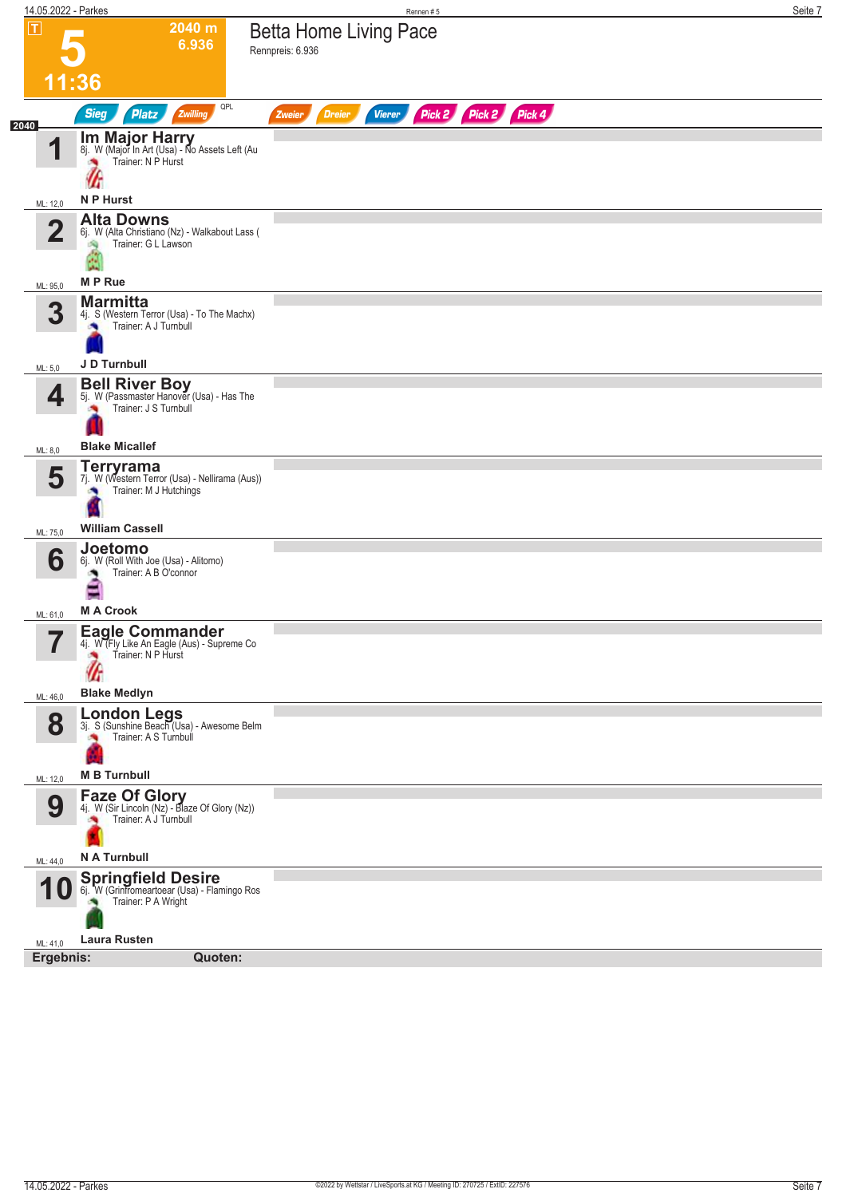| 14.05.2022 - Parkes      |                                                                                                                 | Seite 7<br>Rennen#5                                              |
|--------------------------|-----------------------------------------------------------------------------------------------------------------|------------------------------------------------------------------|
| $\overline{\mathsf{T}}$  | 2040 m<br>6.936                                                                                                 | <b>Betta Home Living Pace</b><br>Rennpreis: 6.936                |
| 11:36                    |                                                                                                                 |                                                                  |
| 2040                     | QPL<br><b>Sieg</b><br><b>Platz</b><br>Zwilling                                                                  | Pick 2 Pick 2 Pick 4<br><b>Vierer</b><br><b>Dreier</b><br>Zweier |
| 1                        | <b>Im Major Harry</b><br>8j. W (Major In Art (Usa) - No Assets Left (Au<br>Trainer: N P Hurst<br>UТ             |                                                                  |
| ML: 12,0                 | N P Hurst                                                                                                       |                                                                  |
| $\mathbf{2}$             | <b>Alta Downs</b><br>6j. W (Alta Christiano (Nz) - Walkabout Lass (<br>Trainer: G L Lawson<br>A                 |                                                                  |
| ML: 95,0                 | <b>MP</b> Rue                                                                                                   |                                                                  |
| 3                        | <b>Marmitta</b><br>4j. S (Western Terror (Usa) - To The Machx)<br>Trainer: A J Turnbull                         |                                                                  |
| ML: 5,0                  | J D Turnbull                                                                                                    |                                                                  |
| 4                        | <b>Bell River Boy</b><br>5j. W (Passmaster Hanover (Usa) - Has The<br>Trainer: J S Turnbull                     |                                                                  |
| ML: 8,0                  | <b>Blake Micallef</b>                                                                                           |                                                                  |
| 5                        | Terryrama<br>7j. W (Western Terror (Usa) - Nellirama (Aus))<br>Trainer: M J Hutchings                           |                                                                  |
| ML: 75,0                 | <b>William Cassell</b>                                                                                          |                                                                  |
| 6<br>ML: 61,0            | Joetomo<br>6j. W (Roll With Joe (Usa) - Alitomo)<br>Trainer: A B O'connor<br>۸<br>Ξ<br><b>MA Crook</b>          |                                                                  |
| $\overline{\phantom{a}}$ | <b>Eagle Commander</b>                                                                                          |                                                                  |
| H<br>ML: 46,0            | 4j. W (Fly Like An Eagle (Aus) - Supreme Co<br>Trainer: N P Hurst<br><b>Blake Medlyn</b>                        |                                                                  |
| 8                        | London Legs<br>3j. S (Sunshine Beach (Usa) - Awesome Belm<br>Trainer: A S Turnbull                              |                                                                  |
| ML: 12,0                 | <b>M B Turnbull</b>                                                                                             |                                                                  |
| 9                        | <b>Faze Of Glory</b><br>4j. W (Sir Lincoln (Nz) - Blaze Of Glory (Nz))<br>Trainer: A J Turnbull<br>N A Turnbull |                                                                  |
| ML: 44,0                 |                                                                                                                 |                                                                  |
|                          | 10 Springfield Desire<br>10 6j. W (Grinfromeartoear (Usa) - Flamingo Ros<br>Trainer: P A Wright                 |                                                                  |
| ML: 41,0                 | <b>Laura Rusten</b>                                                                                             |                                                                  |
| Ergebnis:                | Quoten:                                                                                                         |                                                                  |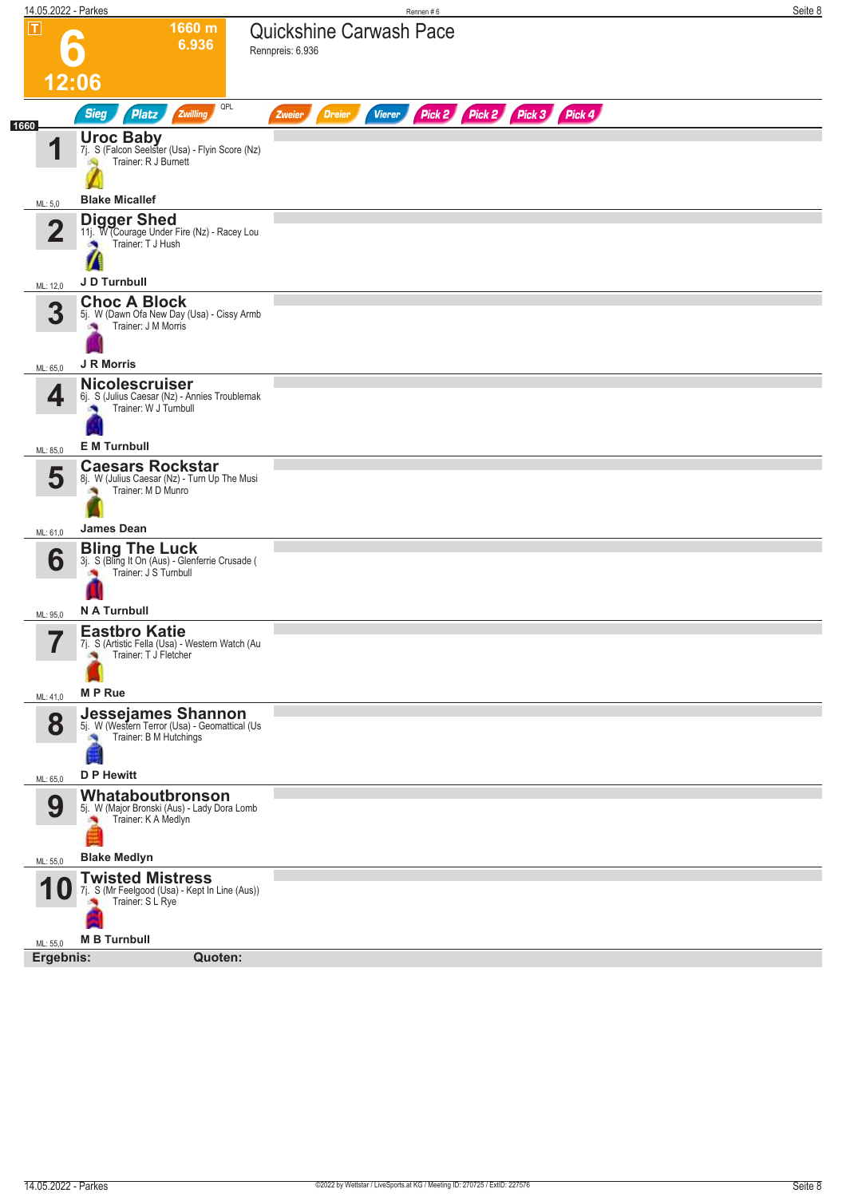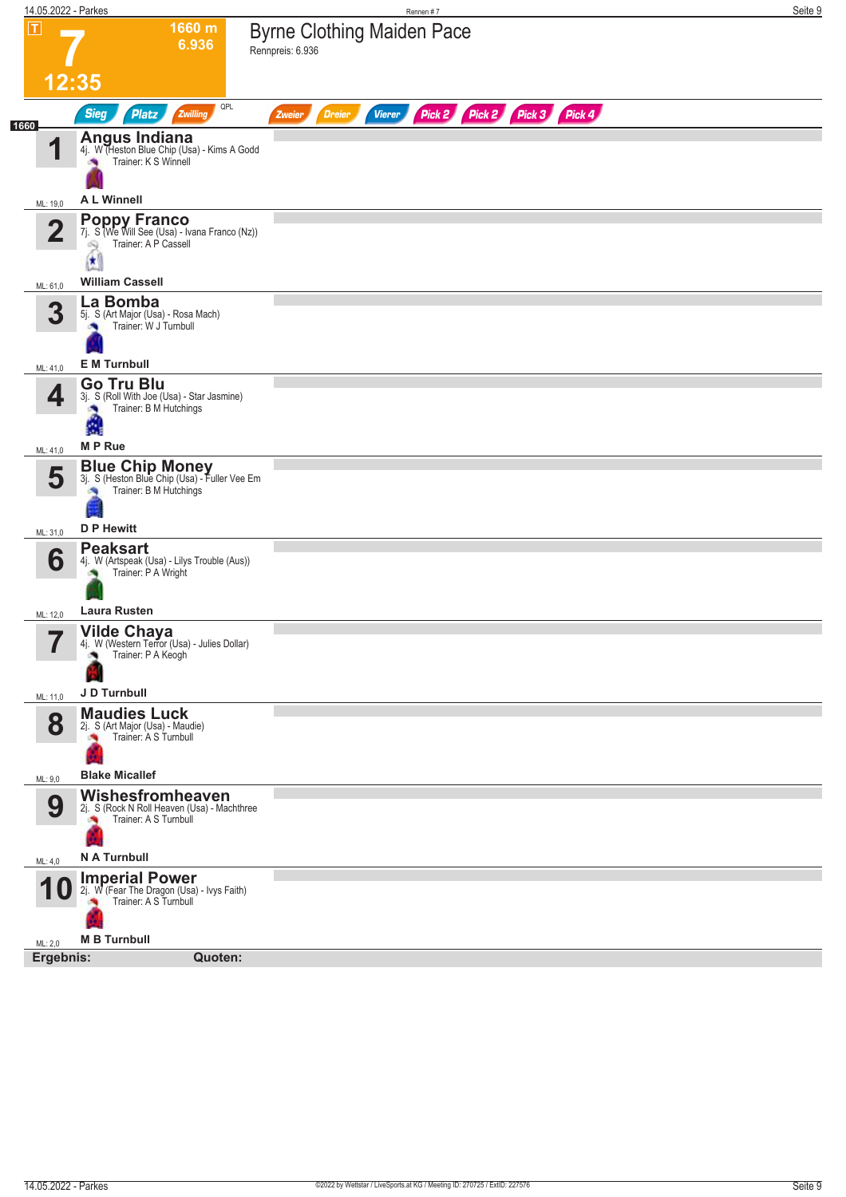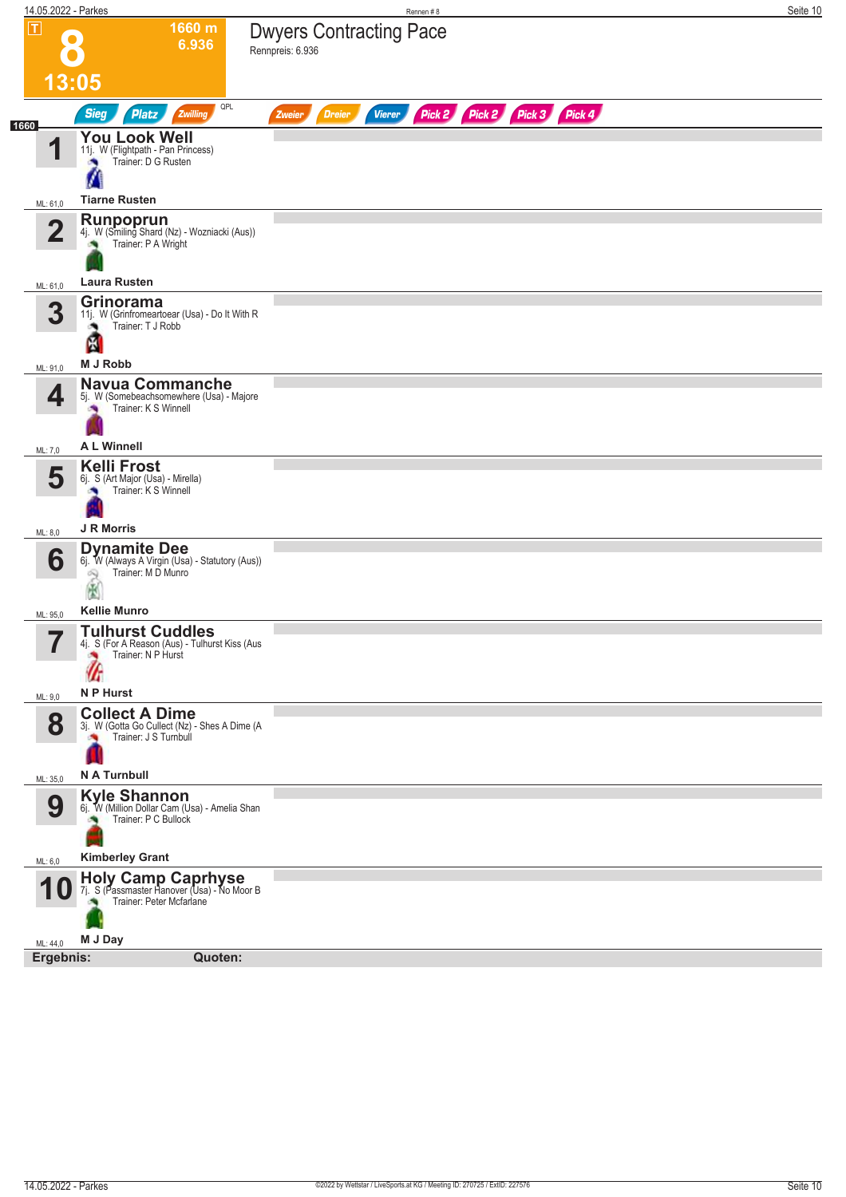